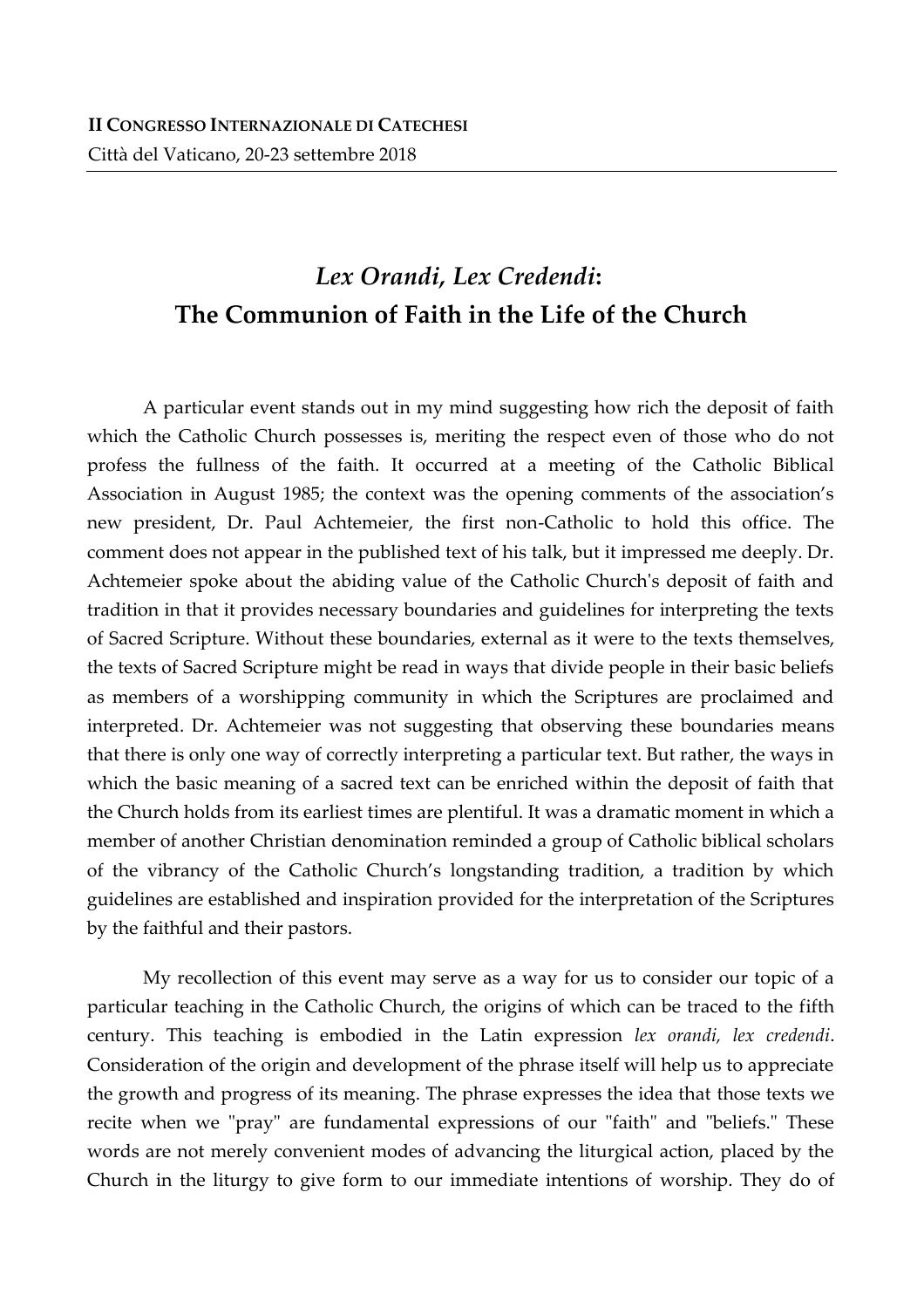# *Lex Orandi, Lex Credendi***: The Communion of Faith in the Life of the Church**

A particular event stands out in my mind suggesting how rich the deposit of faith which the Catholic Church possesses is, meriting the respect even of those who do not profess the fullness of the faith. It occurred at a meeting of the Catholic Biblical Association in August 1985; the context was the opening comments of the association's new president, Dr. Paul Achtemeier, the first non-Catholic to hold this office. The comment does not appear in the published text of his talk, but it impressed me deeply. Dr. Achtemeier spoke about the abiding value of the Catholic Church's deposit of faith and tradition in that it provides necessary boundaries and guidelines for interpreting the texts of Sacred Scripture. Without these boundaries, external as it were to the texts themselves, the texts of Sacred Scripture might be read in ways that divide people in their basic beliefs as members of a worshipping community in which the Scriptures are proclaimed and interpreted. Dr. Achtemeier was not suggesting that observing these boundaries means that there is only one way of correctly interpreting a particular text. But rather, the ways in which the basic meaning of a sacred text can be enriched within the deposit of faith that the Church holds from its earliest times are plentiful. It was a dramatic moment in which a member of another Christian denomination reminded a group of Catholic biblical scholars of the vibrancy of the Catholic Church's longstanding tradition, a tradition by which guidelines are established and inspiration provided for the interpretation of the Scriptures by the faithful and their pastors.

My recollection of this event may serve as a way for us to consider our topic of a particular teaching in the Catholic Church, the origins of which can be traced to the fifth century. This teaching is embodied in the Latin expression *lex orandi, lex credendi*. Consideration of the origin and development of the phrase itself will help us to appreciate the growth and progress of its meaning. The phrase expresses the idea that those texts we recite when we "pray" are fundamental expressions of our "faith" and "beliefs." These words are not merely convenient modes of advancing the liturgical action, placed by the Church in the liturgy to give form to our immediate intentions of worship. They do of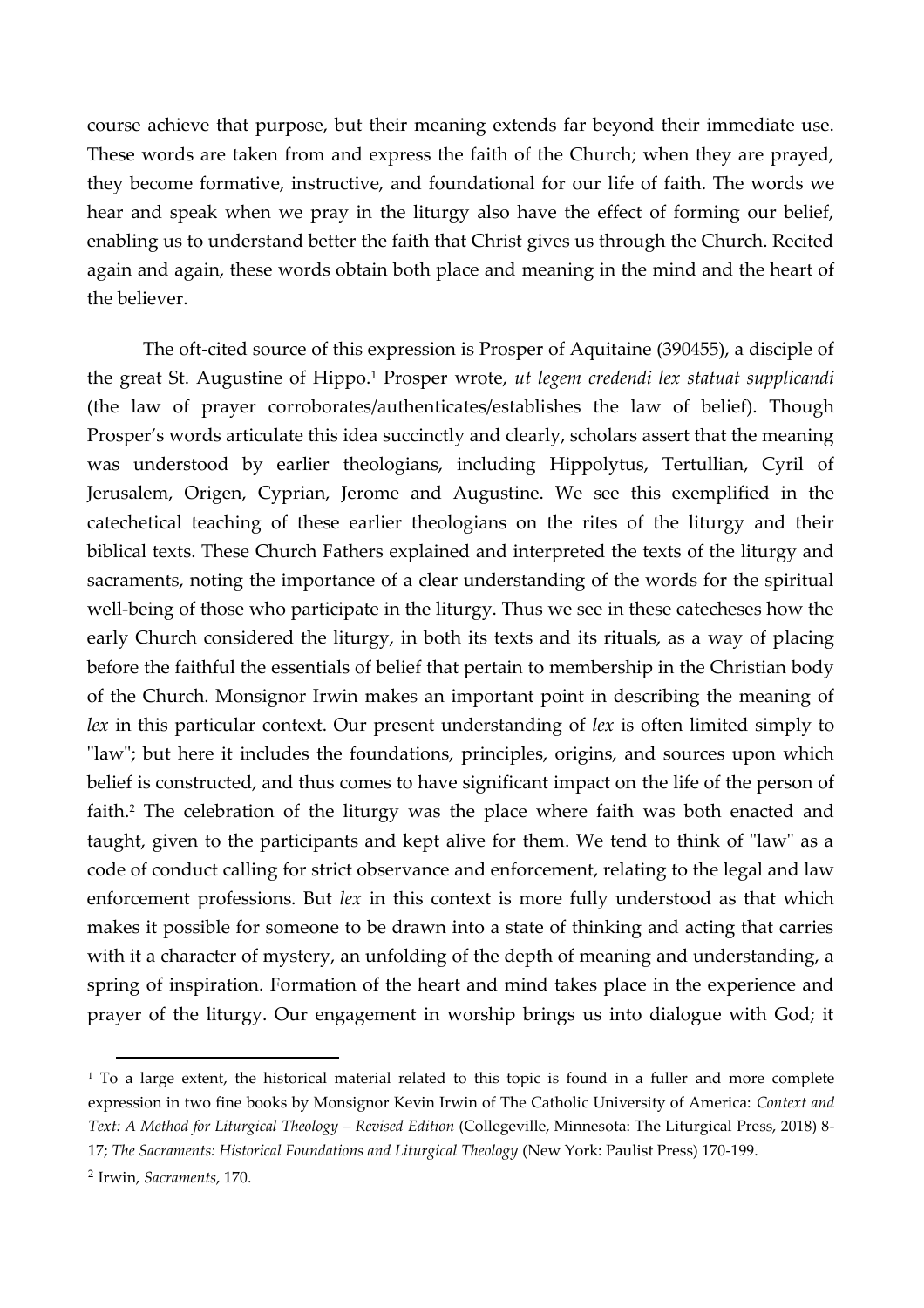course achieve that purpose, but their meaning extends far beyond their immediate use. These words are taken from and express the faith of the Church; when they are prayed, they become formative, instructive, and foundational for our life of faith. The words we hear and speak when we pray in the liturgy also have the effect of forming our belief, enabling us to understand better the faith that Christ gives us through the Church. Recited again and again, these words obtain both place and meaning in the mind and the heart of the believer.

The oft-cited source of this expression is Prosper of Aquitaine (390455), a disciple of the great St. Augustine of Hippo.<sup>1</sup> Prosper wrote, *ut legem credendi lex statuat supplicandi* (the law of prayer corroborates/authenticates/establishes the law of belief). Though Prosper's words articulate this idea succinctly and clearly, scholars assert that the meaning was understood by earlier theologians, including Hippolytus, Tertullian, Cyril of Jerusalem, Origen, Cyprian, Jerome and Augustine. We see this exemplified in the catechetical teaching of these earlier theologians on the rites of the liturgy and their biblical texts. These Church Fathers explained and interpreted the texts of the liturgy and sacraments, noting the importance of a clear understanding of the words for the spiritual well-being of those who participate in the liturgy. Thus we see in these catecheses how the early Church considered the liturgy, in both its texts and its rituals, as a way of placing before the faithful the essentials of belief that pertain to membership in the Christian body of the Church. Monsignor Irwin makes an important point in describing the meaning of *lex* in this particular context. Our present understanding of *lex* is often limited simply to "law"; but here it includes the foundations, principles, origins, and sources upon which belief is constructed, and thus comes to have significant impact on the life of the person of faith. <sup>2</sup> The celebration of the liturgy was the place where faith was both enacted and taught, given to the participants and kept alive for them. We tend to think of "law" as a code of conduct calling for strict observance and enforcement, relating to the legal and law enforcement professions. But *lex* in this context is more fully understood as that which makes it possible for someone to be drawn into a state of thinking and acting that carries with it a character of mystery, an unfolding of the depth of meaning and understanding, a spring of inspiration. Formation of the heart and mind takes place in the experience and prayer of the liturgy. Our engagement in worship brings us into dialogue with God; it

 $\overline{a}$ 

<sup>&</sup>lt;sup>1</sup> To a large extent, the historical material related to this topic is found in a fuller and more complete expression in two fine books by Monsignor Kevin Irwin of The Catholic University of America: *Context and Text: A Method for Liturgical Theology – Revised Edition* (Collegeville, Minnesota: The Liturgical Press, 2018) 8- 17; *The Sacraments: Historical Foundations and Liturgical Theology* (New York: Paulist Press) 170-199.

<sup>2</sup> Irwin, *Sacraments*, 170.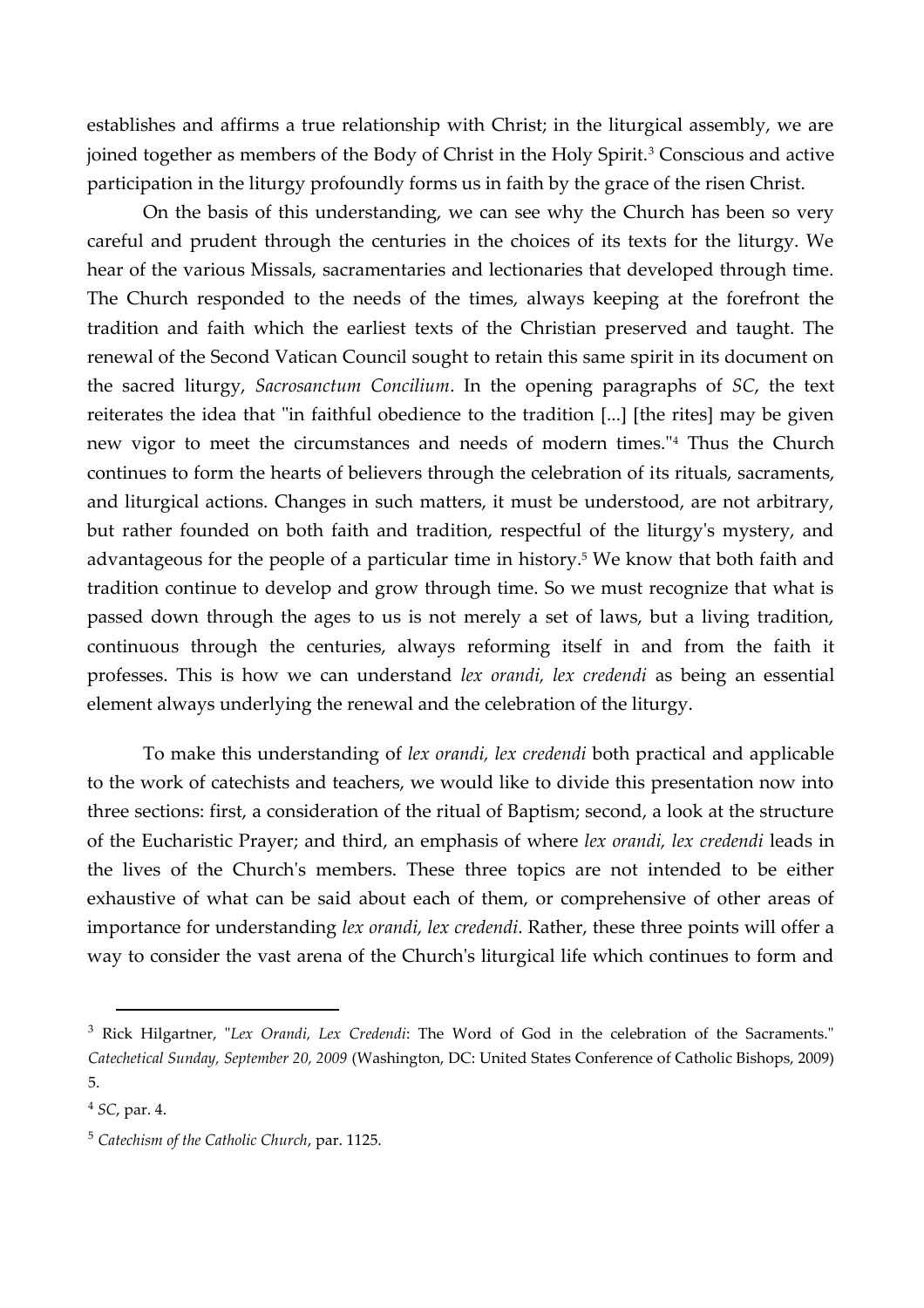establishes and affirms a true relationship with Christ; in the liturgical assembly, we are joined together as members of the Body of Christ in the Holy Spirit.<sup>3</sup> Conscious and active participation in the liturgy profoundly forms us in faith by the grace of the risen Christ.

On the basis of this understanding, we can see why the Church has been so very careful and prudent through the centuries in the choices of its texts for the liturgy. We hear of the various Missals, sacramentaries and lectionaries that developed through time. The Church responded to the needs of the times, always keeping at the forefront the tradition and faith which the earliest texts of the Christian preserved and taught. The renewal of the Second Vatican Council sought to retain this same spirit in its document on the sacred liturgy, *Sacrosanctum Concilium*. In the opening paragraphs of *SC*, the text reiterates the idea that "in faithful obedience to the tradition [...] [the rites] may be given new vigor to meet the circumstances and needs of modern times."<sup>4</sup> Thus the Church continues to form the hearts of believers through the celebration of its rituals, sacraments, and liturgical actions. Changes in such matters, it must be understood, are not arbitrary, but rather founded on both faith and tradition, respectful of the liturgy's mystery, and advantageous for the people of a particular time in history.<sup>5</sup> We know that both faith and tradition continue to develop and grow through time. So we must recognize that what is passed down through the ages to us is not merely a set of laws, but a living tradition, continuous through the centuries, always reforming itself in and from the faith it professes. This is how we can understand *lex orandi, lex credendi* as being an essential element always underlying the renewal and the celebration of the liturgy.

To make this understanding of *lex orandi, lex credendi* both practical and applicable to the work of catechists and teachers, we would like to divide this presentation now into three sections: first, a consideration of the ritual of Baptism; second, a look at the structure of the Eucharistic Prayer; and third, an emphasis of where *lex orandi, lex credendi* leads in the lives of the Church's members. These three topics are not intended to be either exhaustive of what can be said about each of them, or comprehensive of other areas of importance for understanding *lex orandi, lex credendi*. Rather, these three points will offer a way to consider the vast arena of the Church's liturgical life which continues to form and

l

<sup>3</sup> Rick Hilgartner, "*Lex Orandi, Lex Credendi*: The Word of God in the celebration of the Sacraments." *Catechetical Sunday, September 20, 2009* (Washington, DC: United States Conference of Catholic Bishops, 2009) 5.

<sup>4</sup> *SC*, par. 4.

<sup>5</sup> *Catechism of the Catholic Church*, par. 1125.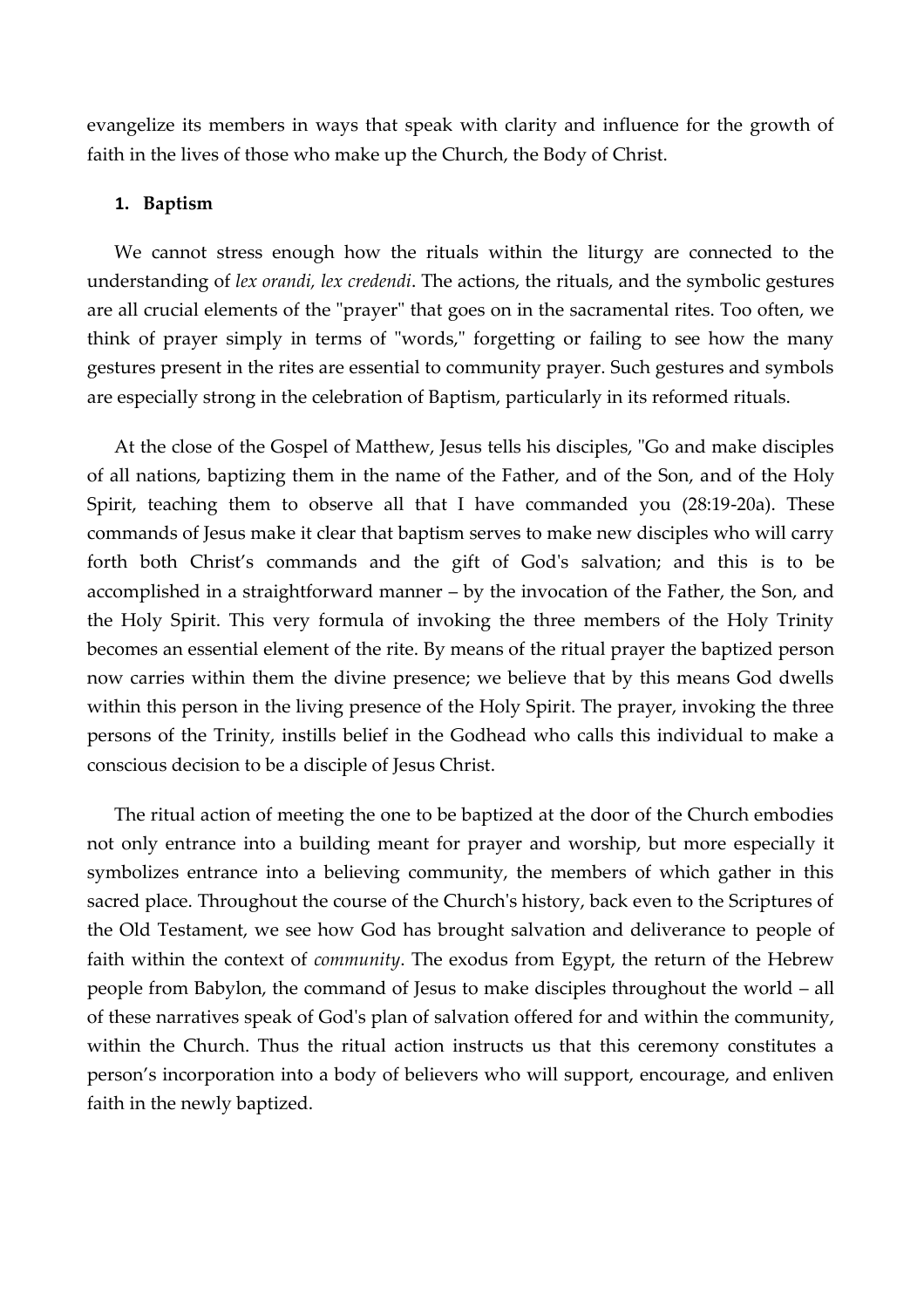evangelize its members in ways that speak with clarity and influence for the growth of faith in the lives of those who make up the Church, the Body of Christ.

#### **1. Baptism**

We cannot stress enough how the rituals within the liturgy are connected to the understanding of *lex orandi, lex credendi*. The actions, the rituals, and the symbolic gestures are all crucial elements of the "prayer" that goes on in the sacramental rites. Too often, we think of prayer simply in terms of "words," forgetting or failing to see how the many gestures present in the rites are essential to community prayer. Such gestures and symbols are especially strong in the celebration of Baptism, particularly in its reformed rituals.

At the close of the Gospel of Matthew, Jesus tells his disciples, "Go and make disciples of all nations, baptizing them in the name of the Father, and of the Son, and of the Holy Spirit, teaching them to observe all that I have commanded you (28:19-20a). These commands of Jesus make it clear that baptism serves to make new disciples who will carry forth both Christ's commands and the gift of God's salvation; and this is to be accomplished in a straightforward manner – by the invocation of the Father, the Son, and the Holy Spirit. This very formula of invoking the three members of the Holy Trinity becomes an essential element of the rite. By means of the ritual prayer the baptized person now carries within them the divine presence; we believe that by this means God dwells within this person in the living presence of the Holy Spirit. The prayer, invoking the three persons of the Trinity, instills belief in the Godhead who calls this individual to make a conscious decision to be a disciple of Jesus Christ.

The ritual action of meeting the one to be baptized at the door of the Church embodies not only entrance into a building meant for prayer and worship, but more especially it symbolizes entrance into a believing community, the members of which gather in this sacred place. Throughout the course of the Church's history, back even to the Scriptures of the Old Testament, we see how God has brought salvation and deliverance to people of faith within the context of *community*. The exodus from Egypt, the return of the Hebrew people from Babylon, the command of Jesus to make disciples throughout the world – all of these narratives speak of God's plan of salvation offered for and within the community, within the Church. Thus the ritual action instructs us that this ceremony constitutes a person's incorporation into a body of believers who will support, encourage, and enliven faith in the newly baptized.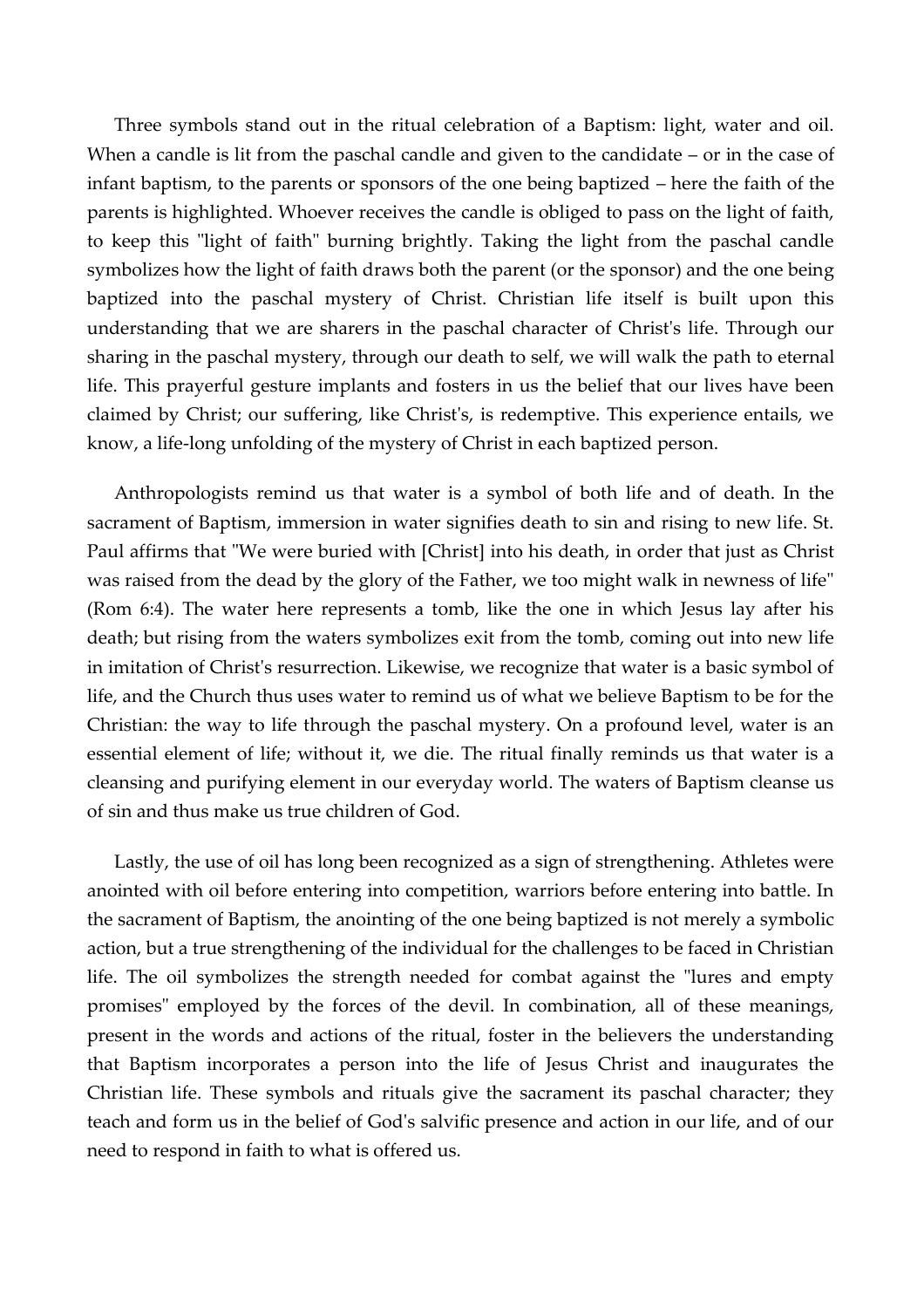Three symbols stand out in the ritual celebration of a Baptism: light, water and oil. When a candle is lit from the paschal candle and given to the candidate – or in the case of infant baptism, to the parents or sponsors of the one being baptized – here the faith of the parents is highlighted. Whoever receives the candle is obliged to pass on the light of faith, to keep this "light of faith" burning brightly. Taking the light from the paschal candle symbolizes how the light of faith draws both the parent (or the sponsor) and the one being baptized into the paschal mystery of Christ. Christian life itself is built upon this understanding that we are sharers in the paschal character of Christ's life. Through our sharing in the paschal mystery, through our death to self, we will walk the path to eternal life. This prayerful gesture implants and fosters in us the belief that our lives have been claimed by Christ; our suffering, like Christ's, is redemptive. This experience entails, we know, a life-long unfolding of the mystery of Christ in each baptized person.

Anthropologists remind us that water is a symbol of both life and of death. In the sacrament of Baptism, immersion in water signifies death to sin and rising to new life. St. Paul affirms that "We were buried with [Christ] into his death, in order that just as Christ was raised from the dead by the glory of the Father, we too might walk in newness of life" (Rom 6:4). The water here represents a tomb, like the one in which Jesus lay after his death; but rising from the waters symbolizes exit from the tomb, coming out into new life in imitation of Christ's resurrection. Likewise, we recognize that water is a basic symbol of life, and the Church thus uses water to remind us of what we believe Baptism to be for the Christian: the way to life through the paschal mystery. On a profound level, water is an essential element of life; without it, we die. The ritual finally reminds us that water is a cleansing and purifying element in our everyday world. The waters of Baptism cleanse us of sin and thus make us true children of God.

Lastly, the use of oil has long been recognized as a sign of strengthening. Athletes were anointed with oil before entering into competition, warriors before entering into battle. In the sacrament of Baptism, the anointing of the one being baptized is not merely a symbolic action, but a true strengthening of the individual for the challenges to be faced in Christian life. The oil symbolizes the strength needed for combat against the "lures and empty promises" employed by the forces of the devil. In combination, all of these meanings, present in the words and actions of the ritual, foster in the believers the understanding that Baptism incorporates a person into the life of Jesus Christ and inaugurates the Christian life. These symbols and rituals give the sacrament its paschal character; they teach and form us in the belief of God's salvific presence and action in our life, and of our need to respond in faith to what is offered us.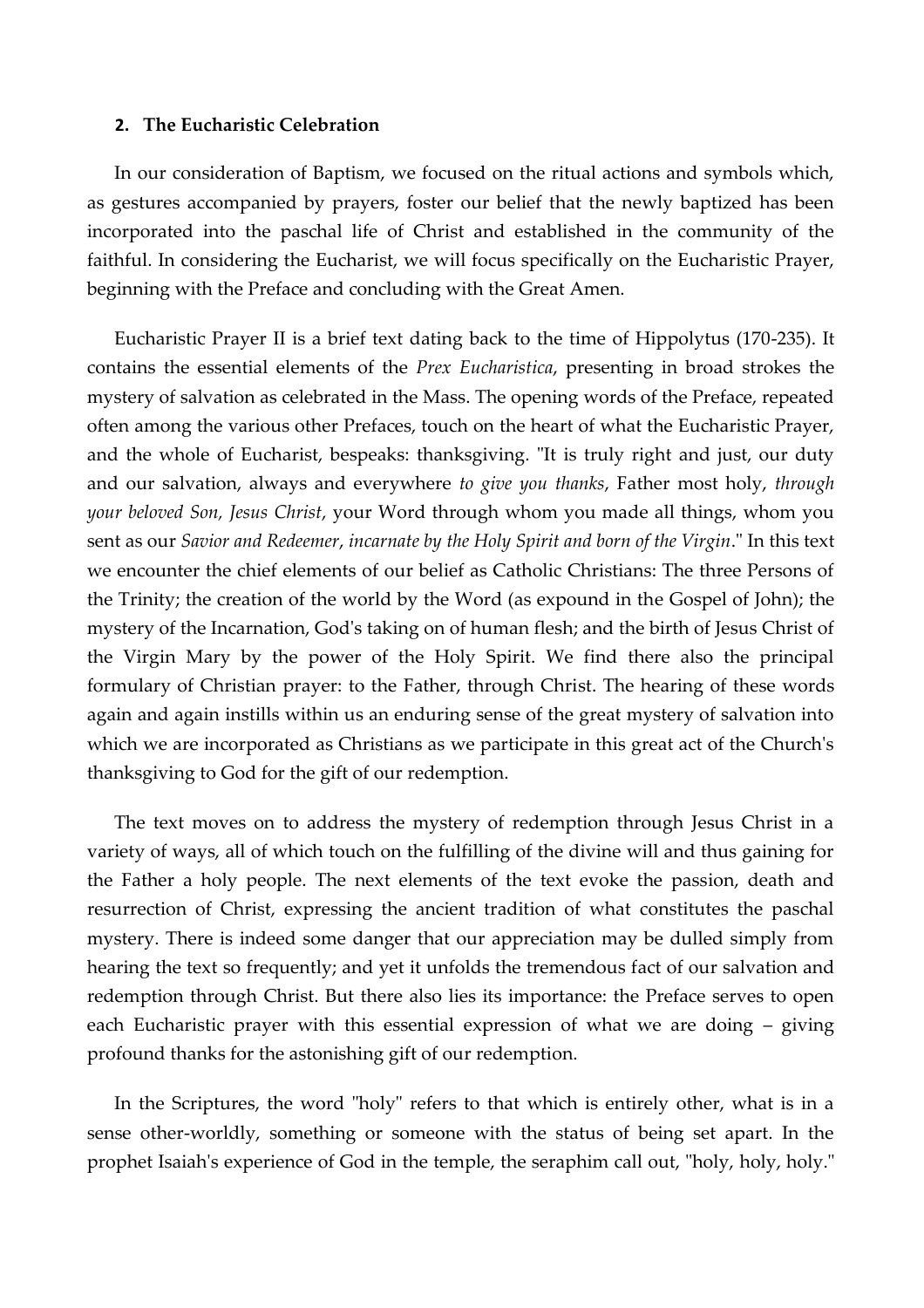#### **2. The Eucharistic Celebration**

In our consideration of Baptism, we focused on the ritual actions and symbols which, as gestures accompanied by prayers, foster our belief that the newly baptized has been incorporated into the paschal life of Christ and established in the community of the faithful. In considering the Eucharist, we will focus specifically on the Eucharistic Prayer, beginning with the Preface and concluding with the Great Amen.

Eucharistic Prayer II is a brief text dating back to the time of Hippolytus (170-235). It contains the essential elements of the *Prex Eucharistica*, presenting in broad strokes the mystery of salvation as celebrated in the Mass. The opening words of the Preface, repeated often among the various other Prefaces, touch on the heart of what the Eucharistic Prayer, and the whole of Eucharist, bespeaks: thanksgiving. "It is truly right and just, our duty and our salvation, always and everywhere *to give you thanks*, Father most holy, *through your beloved Son, Jesus Christ*, your Word through whom you made all things, whom you sent as our *Savior and Redeemer*, *incarnate by the Holy Spirit and born of the Virgin*." In this text we encounter the chief elements of our belief as Catholic Christians: The three Persons of the Trinity; the creation of the world by the Word (as expound in the Gospel of John); the mystery of the Incarnation, God's taking on of human flesh; and the birth of Jesus Christ of the Virgin Mary by the power of the Holy Spirit. We find there also the principal formulary of Christian prayer: to the Father, through Christ. The hearing of these words again and again instills within us an enduring sense of the great mystery of salvation into which we are incorporated as Christians as we participate in this great act of the Church's thanksgiving to God for the gift of our redemption.

The text moves on to address the mystery of redemption through Jesus Christ in a variety of ways, all of which touch on the fulfilling of the divine will and thus gaining for the Father a holy people. The next elements of the text evoke the passion, death and resurrection of Christ, expressing the ancient tradition of what constitutes the paschal mystery. There is indeed some danger that our appreciation may be dulled simply from hearing the text so frequently; and yet it unfolds the tremendous fact of our salvation and redemption through Christ. But there also lies its importance: the Preface serves to open each Eucharistic prayer with this essential expression of what we are doing – giving profound thanks for the astonishing gift of our redemption.

In the Scriptures, the word "holy" refers to that which is entirely other, what is in a sense other-worldly, something or someone with the status of being set apart. In the prophet Isaiah's experience of God in the temple, the seraphim call out, "holy, holy, holy."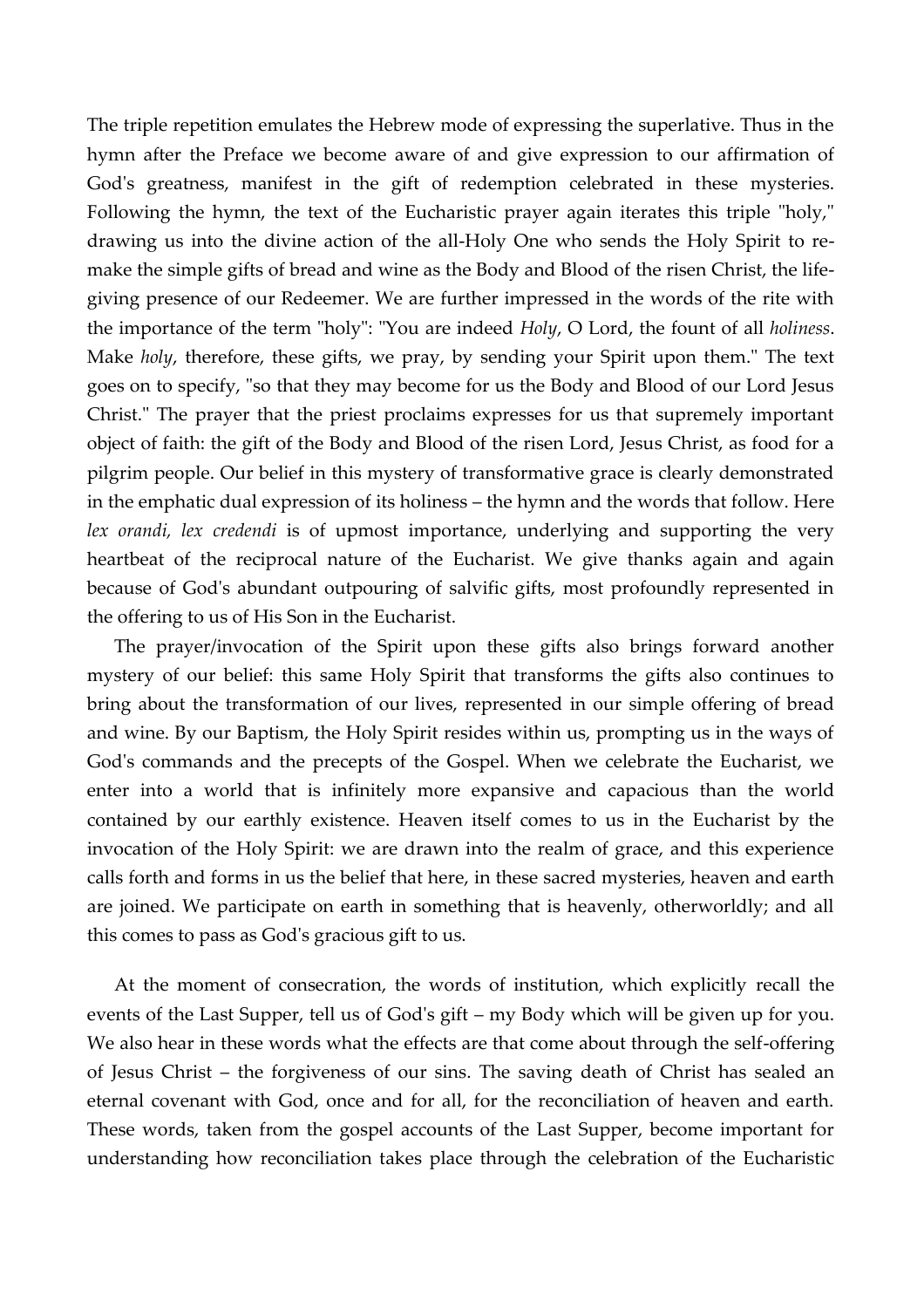The triple repetition emulates the Hebrew mode of expressing the superlative. Thus in the hymn after the Preface we become aware of and give expression to our affirmation of God's greatness, manifest in the gift of redemption celebrated in these mysteries. Following the hymn, the text of the Eucharistic prayer again iterates this triple "holy," drawing us into the divine action of the all-Holy One who sends the Holy Spirit to remake the simple gifts of bread and wine as the Body and Blood of the risen Christ, the lifegiving presence of our Redeemer. We are further impressed in the words of the rite with the importance of the term "holy": "You are indeed *Holy*, O Lord, the fount of all *holiness*. Make *holy*, therefore, these gifts, we pray, by sending your Spirit upon them." The text goes on to specify, "so that they may become for us the Body and Blood of our Lord Jesus Christ." The prayer that the priest proclaims expresses for us that supremely important object of faith: the gift of the Body and Blood of the risen Lord, Jesus Christ, as food for a pilgrim people. Our belief in this mystery of transformative grace is clearly demonstrated in the emphatic dual expression of its holiness – the hymn and the words that follow. Here *lex orandi, lex credendi* is of upmost importance, underlying and supporting the very heartbeat of the reciprocal nature of the Eucharist. We give thanks again and again because of God's abundant outpouring of salvific gifts, most profoundly represented in the offering to us of His Son in the Eucharist.

The prayer/invocation of the Spirit upon these gifts also brings forward another mystery of our belief: this same Holy Spirit that transforms the gifts also continues to bring about the transformation of our lives, represented in our simple offering of bread and wine. By our Baptism, the Holy Spirit resides within us, prompting us in the ways of God's commands and the precepts of the Gospel. When we celebrate the Eucharist, we enter into a world that is infinitely more expansive and capacious than the world contained by our earthly existence. Heaven itself comes to us in the Eucharist by the invocation of the Holy Spirit: we are drawn into the realm of grace, and this experience calls forth and forms in us the belief that here, in these sacred mysteries, heaven and earth are joined. We participate on earth in something that is heavenly, otherworldly; and all this comes to pass as God's gracious gift to us.

At the moment of consecration, the words of institution, which explicitly recall the events of the Last Supper, tell us of God's gift – my Body which will be given up for you. We also hear in these words what the effects are that come about through the self-offering of Jesus Christ – the forgiveness of our sins. The saving death of Christ has sealed an eternal covenant with God, once and for all, for the reconciliation of heaven and earth. These words, taken from the gospel accounts of the Last Supper, become important for understanding how reconciliation takes place through the celebration of the Eucharistic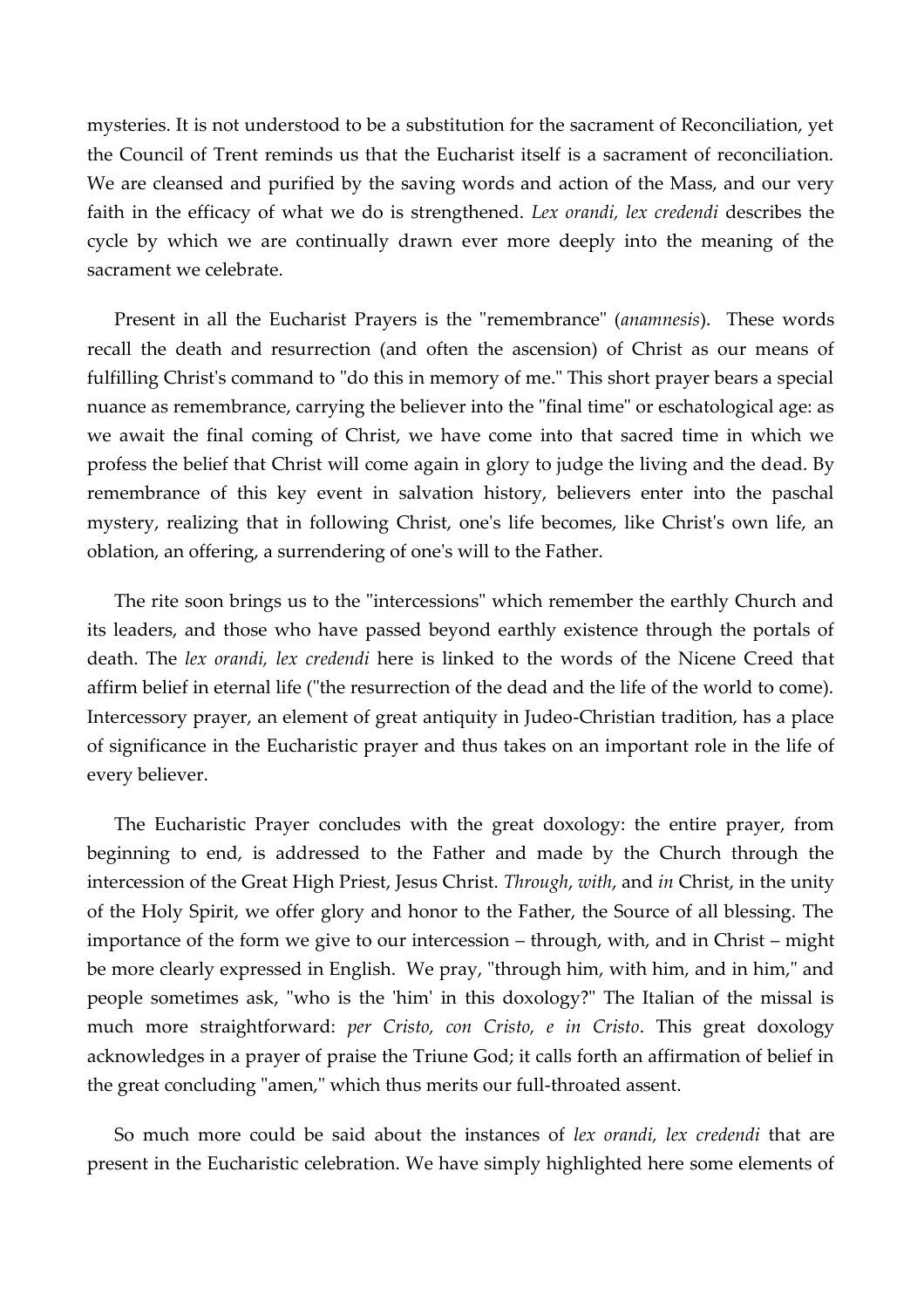mysteries. It is not understood to be a substitution for the sacrament of Reconciliation, yet the Council of Trent reminds us that the Eucharist itself is a sacrament of reconciliation. We are cleansed and purified by the saving words and action of the Mass, and our very faith in the efficacy of what we do is strengthened. *Lex orandi, lex credendi* describes the cycle by which we are continually drawn ever more deeply into the meaning of the sacrament we celebrate.

Present in all the Eucharist Prayers is the "remembrance" (*anamnesis*). These words recall the death and resurrection (and often the ascension) of Christ as our means of fulfilling Christ's command to "do this in memory of me." This short prayer bears a special nuance as remembrance, carrying the believer into the "final time" or eschatological age: as we await the final coming of Christ, we have come into that sacred time in which we profess the belief that Christ will come again in glory to judge the living and the dead. By remembrance of this key event in salvation history, believers enter into the paschal mystery, realizing that in following Christ, one's life becomes, like Christ's own life, an oblation, an offering, a surrendering of one's will to the Father.

The rite soon brings us to the "intercessions" which remember the earthly Church and its leaders, and those who have passed beyond earthly existence through the portals of death. The *lex orandi, lex credendi* here is linked to the words of the Nicene Creed that affirm belief in eternal life ("the resurrection of the dead and the life of the world to come). Intercessory prayer, an element of great antiquity in Judeo-Christian tradition, has a place of significance in the Eucharistic prayer and thus takes on an important role in the life of every believer.

The Eucharistic Prayer concludes with the great doxology: the entire prayer, from beginning to end, is addressed to the Father and made by the Church through the intercession of the Great High Priest, Jesus Christ. *Through*, *with*, and *in* Christ, in the unity of the Holy Spirit, we offer glory and honor to the Father, the Source of all blessing. The importance of the form we give to our intercession – through, with, and in Christ – might be more clearly expressed in English. We pray, "through him, with him, and in him," and people sometimes ask, "who is the 'him' in this doxology?" The Italian of the missal is much more straightforward: *per Cristo, con Cristo, e in Cristo*. This great doxology acknowledges in a prayer of praise the Triune God; it calls forth an affirmation of belief in the great concluding "amen," which thus merits our full-throated assent.

So much more could be said about the instances of *lex orandi, lex credendi* that are present in the Eucharistic celebration. We have simply highlighted here some elements of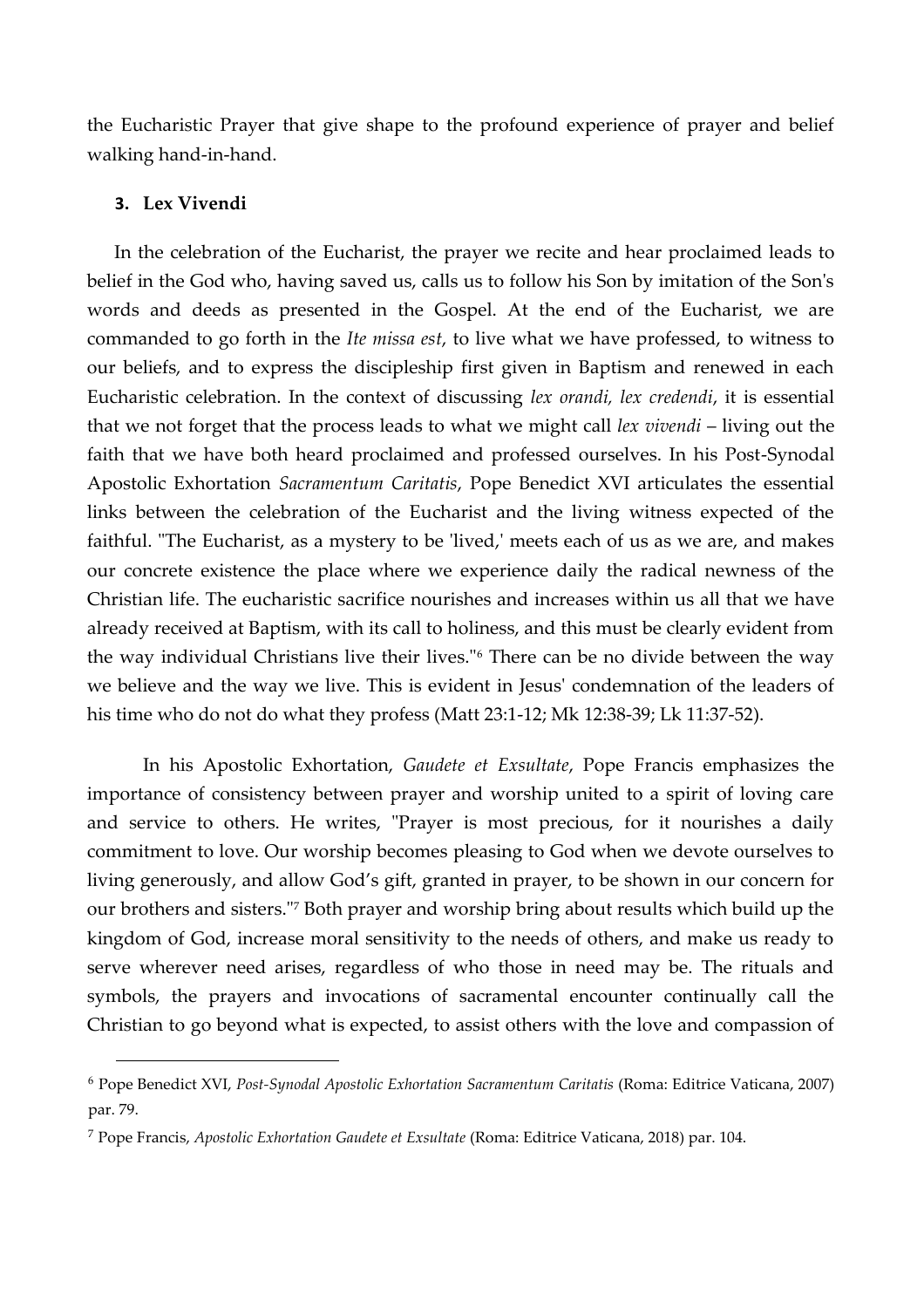the Eucharistic Prayer that give shape to the profound experience of prayer and belief walking hand-in-hand.

### **3. Lex Vivendi**

 $\overline{a}$ 

In the celebration of the Eucharist, the prayer we recite and hear proclaimed leads to belief in the God who, having saved us, calls us to follow his Son by imitation of the Son's words and deeds as presented in the Gospel. At the end of the Eucharist, we are commanded to go forth in the *Ite missa est*, to live what we have professed, to witness to our beliefs, and to express the discipleship first given in Baptism and renewed in each Eucharistic celebration. In the context of discussing *lex orandi, lex credendi*, it is essential that we not forget that the process leads to what we might call *lex vivendi* – living out the faith that we have both heard proclaimed and professed ourselves. In his Post-Synodal Apostolic Exhortation *Sacramentum Caritatis*, Pope Benedict XVI articulates the essential links between the celebration of the Eucharist and the living witness expected of the faithful. "The Eucharist, as a mystery to be 'lived,' meets each of us as we are, and makes our concrete existence the place where we experience daily the radical newness of the Christian life. The eucharistic sacrifice nourishes and increases within us all that we have already received at Baptism, with its call to holiness, and this must be clearly evident from the way individual Christians live their lives."<sup>6</sup> There can be no divide between the way we believe and the way we live. This is evident in Jesus' condemnation of the leaders of his time who do not do what they profess (Matt 23:1-12; Mk 12:38-39; Lk 11:37-52).

In his Apostolic Exhortation, *Gaudete et Exsultate*, Pope Francis emphasizes the importance of consistency between prayer and worship united to a spirit of loving care and service to others. He writes, "Prayer is most precious, for it nourishes a daily commitment to love. Our worship becomes pleasing to God when we devote ourselves to living generously, and allow God's gift, granted in prayer, to be shown in our concern for our brothers and sisters."<sup>7</sup> Both prayer and worship bring about results which build up the kingdom of God, increase moral sensitivity to the needs of others, and make us ready to serve wherever need arises, regardless of who those in need may be. The rituals and symbols, the prayers and invocations of sacramental encounter continually call the Christian to go beyond what is expected, to assist others with the love and compassion of

<sup>6</sup> Pope Benedict XVI, *Post-Synodal Apostolic Exhortation Sacramentum Caritatis* (Roma: Editrice Vaticana, 2007) par. 79.

<sup>7</sup> Pope Francis, *Apostolic Exhortation Gaudete et Exsultate* (Roma: Editrice Vaticana, 2018) par. 104.